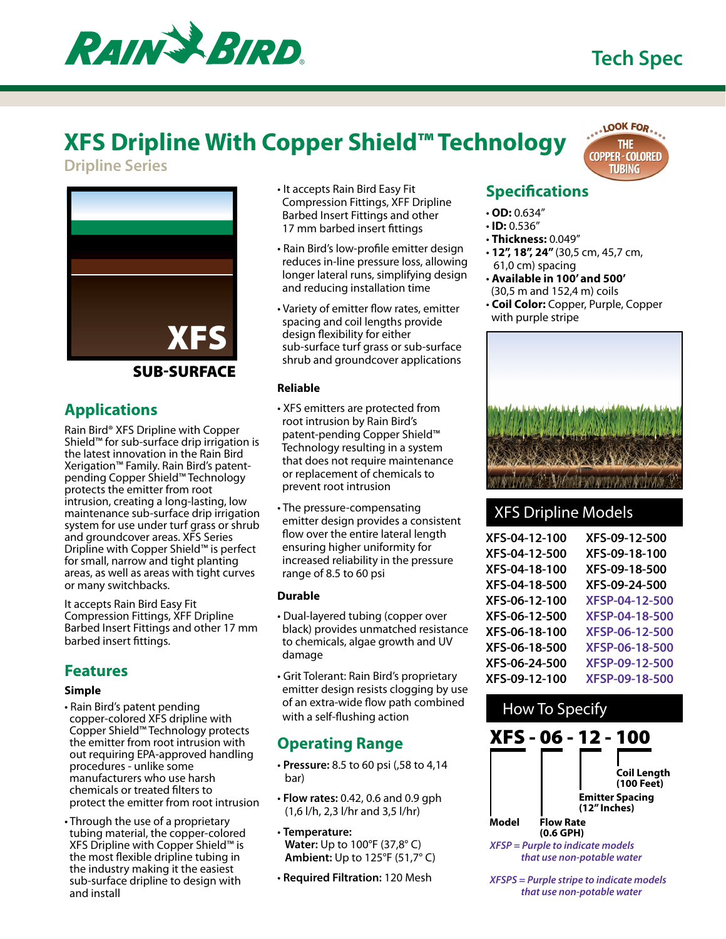# **Tech Spec**



# **XFS Dripline With Copper Shield™ Technology**

**Dripline Series**



#### **SUB-SURFACE**

## **Applications**

Rain Bird® XFS Dripline with Copper Shield™ for sub-surface drip irrigation is the latest innovation in the Rain Bird Xerigation™ Family. Rain Bird's patentpending Copper Shield™ Technology protects the emitter from root intrusion, creating a long-lasting, low maintenance sub-surface drip irrigation system for use under turf grass or shrub and groundcover areas. XFS Series Dripline with Copper Shield™ is perfect for small, narrow and tight planting areas, as well as areas with tight curves or many switchbacks.

It accepts Rain Bird Easy Fit Compression Fittings, XFF Dripline Barbed Insert Fittings and other 17 mm barbed insert fittings.

#### **Features**

#### **Simple**

- Rain Bird's patent pending copper-colored XFS dripline with Copper Shield™ Technology protects the emitter from root intrusion with out requiring EPA-approved handling procedures - unlike some manufacturers who use harsh chemicals or treated filters to protect the emitter from root intrusion
- Through the use of a proprietary tubing material, the copper-colored XFS Dripline with Copper Shield™ is the most flexible dripline tubing in the industry making it the easiest sub-surface dripline to design with and install
- It accepts Rain Bird Easy Fit Compression Fittings, XFF Dripline Barbed Insert Fittings and other 17 mm barbed insert fittings
- Rain Bird's low-profile emitter design reduces in-line pressure loss, allowing longer lateral runs, simplifying design and reducing installation time
- Variety of emitter flow rates, emitter spacing and coil lengths provide design flexibility for either sub-surface turf grass or sub-surface shrub and groundcover applications

#### **Reliable**

- XFS emitters are protected from root intrusion by Rain Bird's patent-pending Copper Shield™ Technology resulting in a system that does not require maintenance or replacement of chemicals to prevent root intrusion
- The pressure-compensating emitter design provides a consistent flow over the entire lateral length ensuring higher uniformity for increased reliability in the pressure range of 8.5 to 60 psi

#### **Durable**

- Dual-layered tubing (copper over black) provides unmatched resistance to chemicals, algae growth and UV damage
- Grit Tolerant: Rain Bird's proprietary emitter design resists clogging by use of an extra-wide flow path combined with a self-flushing action

### **Operating Range**

- **Pressure:** 8.5 to 60 psi (,58 to 4,14 bar)
- **Flow rates:** 0.42, 0.6 and 0.9 gph (1,6 l/h, 2,3 l/hr and 3,5 l/hr)
- **Temperature: Water:** Up to 100°F (37,8° C) **Ambient:** Up to 125°F (51,7° C)
- **Required Filtration:** 120 Mesh

### **Specifications**

- **OD:** 0.634"
- **ID:** 0.536"
- **Thickness:** 0.049"
- **12", 18", 24"** (30,5 cm, 45,7 cm, 61,0 cm) spacing
- **Available in 100' and 500'** (30,5 m and 152,4 m) coils
- **Coil Color:** Copper, Purple, Copper with purple stripe



### XFS Dripline Models

| XFS-04-12-100 | XFS-09-12-500  |
|---------------|----------------|
| XFS-04-12-500 | XFS-09-18-100  |
| XFS-04-18-100 | XFS-09-18-500  |
| XFS-04-18-500 | XFS-09-24-500  |
| XFS-06-12-100 | XFSP-04-12-500 |
| XFS-06-12-500 | XFSP-04-18-500 |
| XFS-06-18-100 | XFSP-06-12-500 |
| XFS-06-18-500 | XFSP-06-18-500 |
| XFS-06-24-500 | XFSP-09-12-500 |
| XFS-09-12-100 | XFSP-09-18-500 |
|               |                |



 *that use non-potable water*

*XFSPS = Purple stripe to indicate models that use non-potable water*